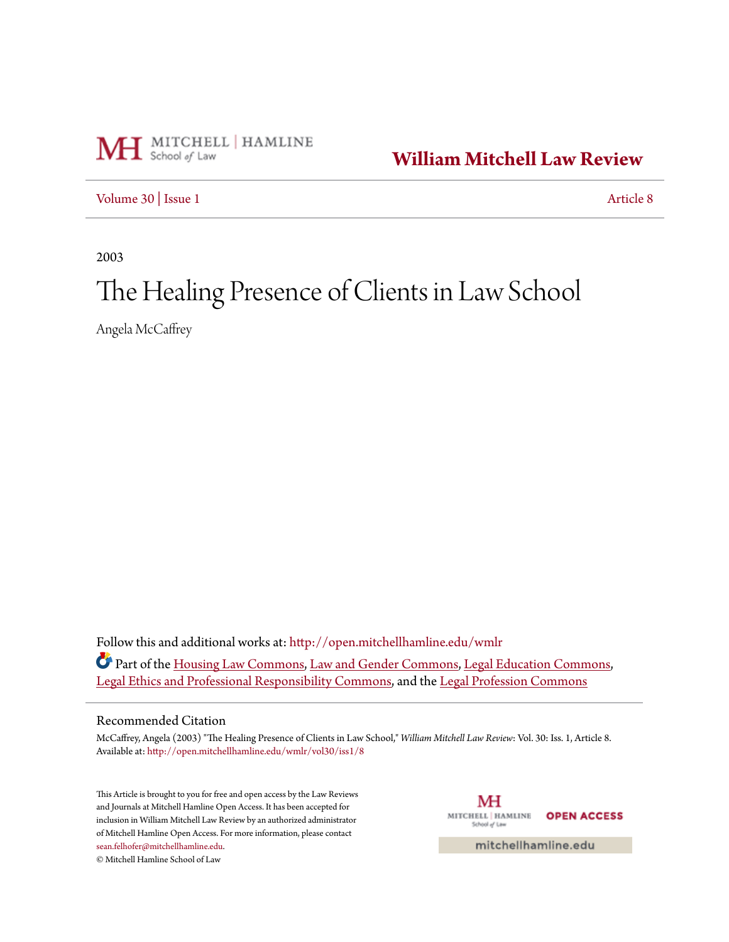

**[William Mitchell Law Review](http://open.mitchellhamline.edu/wmlr?utm_source=open.mitchellhamline.edu%2Fwmlr%2Fvol30%2Fiss1%2F8&utm_medium=PDF&utm_campaign=PDFCoverPages)**

[Volume 30](http://open.mitchellhamline.edu/wmlr/vol30?utm_source=open.mitchellhamline.edu%2Fwmlr%2Fvol30%2Fiss1%2F8&utm_medium=PDF&utm_campaign=PDFCoverPages) | [Issue 1](http://open.mitchellhamline.edu/wmlr/vol30/iss1?utm_source=open.mitchellhamline.edu%2Fwmlr%2Fvol30%2Fiss1%2F8&utm_medium=PDF&utm_campaign=PDFCoverPages) [Article 8](http://open.mitchellhamline.edu/wmlr/vol30/iss1/8?utm_source=open.mitchellhamline.edu%2Fwmlr%2Fvol30%2Fiss1%2F8&utm_medium=PDF&utm_campaign=PDFCoverPages)

2003

# The Healing Presence of Clients in Law School

Angela McCaffrey

Follow this and additional works at: [http://open.mitchellhamline.edu/wmlr](http://open.mitchellhamline.edu/wmlr?utm_source=open.mitchellhamline.edu%2Fwmlr%2Fvol30%2Fiss1%2F8&utm_medium=PDF&utm_campaign=PDFCoverPages) Part of the [Housing Law Commons,](http://network.bepress.com/hgg/discipline/846?utm_source=open.mitchellhamline.edu%2Fwmlr%2Fvol30%2Fiss1%2F8&utm_medium=PDF&utm_campaign=PDFCoverPages) [Law and Gender Commons](http://network.bepress.com/hgg/discipline/1298?utm_source=open.mitchellhamline.edu%2Fwmlr%2Fvol30%2Fiss1%2F8&utm_medium=PDF&utm_campaign=PDFCoverPages), [Legal Education Commons,](http://network.bepress.com/hgg/discipline/857?utm_source=open.mitchellhamline.edu%2Fwmlr%2Fvol30%2Fiss1%2F8&utm_medium=PDF&utm_campaign=PDFCoverPages) [Legal Ethics and Professional Responsibility Commons,](http://network.bepress.com/hgg/discipline/895?utm_source=open.mitchellhamline.edu%2Fwmlr%2Fvol30%2Fiss1%2F8&utm_medium=PDF&utm_campaign=PDFCoverPages) and the [Legal Profession Commons](http://network.bepress.com/hgg/discipline/1075?utm_source=open.mitchellhamline.edu%2Fwmlr%2Fvol30%2Fiss1%2F8&utm_medium=PDF&utm_campaign=PDFCoverPages)

# Recommended Citation

McCaffrey, Angela (2003) "The Healing Presence of Clients in Law School," *William Mitchell Law Review*: Vol. 30: Iss. 1, Article 8. Available at: [http://open.mitchellhamline.edu/wmlr/vol30/iss1/8](http://open.mitchellhamline.edu/wmlr/vol30/iss1/8?utm_source=open.mitchellhamline.edu%2Fwmlr%2Fvol30%2Fiss1%2F8&utm_medium=PDF&utm_campaign=PDFCoverPages)

This Article is brought to you for free and open access by the Law Reviews and Journals at Mitchell Hamline Open Access. It has been accepted for inclusion in William Mitchell Law Review by an authorized administrator of Mitchell Hamline Open Access. For more information, please contact [sean.felhofer@mitchellhamline.edu](mailto:sean.felhofer@mitchellhamline.edu). © Mitchell Hamline School of Law

МH MITCHELL | HAMLINE **OPEN ACCESS** School of Law

mitchellhamline.edu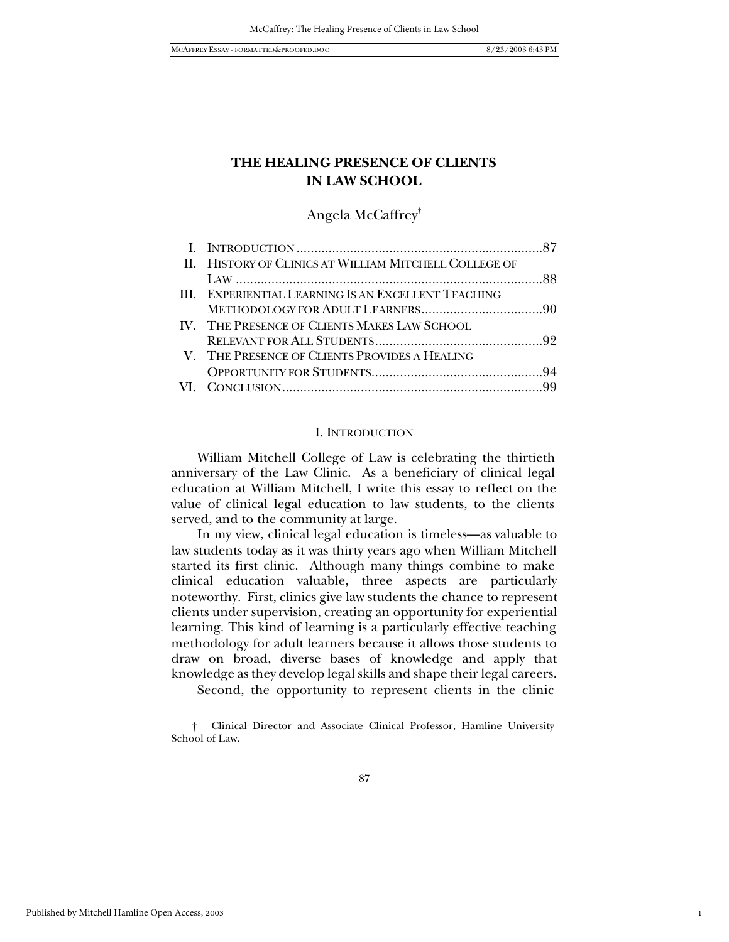1

# **THE HEALING PRESENCE OF CLIENTS IN LAW SCHOOL**

Angela McCaffrey†

| II. HISTORY OF CLINICS AT WILLIAM MITCHELL COLLEGE OF |  |
|-------------------------------------------------------|--|
|                                                       |  |
| III. EXPERIENTIAL LEARNING IS AN EXCELLENT TEACHING   |  |
|                                                       |  |
| IV. THE PRESENCE OF CLIENTS MAKES LAW SCHOOL          |  |
|                                                       |  |
| V. THE PRESENCE OF CLIENTS PROVIDES A HEALING         |  |
|                                                       |  |
|                                                       |  |
|                                                       |  |

#### I. INTRODUCTION

William Mitchell College of Law is celebrating the thirtieth anniversary of the Law Clinic. As a beneficiary of clinical legal education at William Mitchell, I write this essay to reflect on the value of clinical legal education to law students, to the clients served, and to the community at large.

In my view, clinical legal education is timeless—as valuable to law students today as it was thirty years ago when William Mitchell started its first clinic. Although many things combine to make clinical education valuable, three aspects are particularly noteworthy. First, clinics give law students the chance to represent clients under supervision, creating an opportunity for experiential learning. This kind of learning is a particularly effective teaching methodology for adult learners because it allows those students to draw on broad, diverse bases of knowledge and apply that knowledge as they develop legal skills and shape their legal careers.

Second, the opportunity to represent clients in the clinic

<sup>†</sup> Clinical Director and Associate Clinical Professor, Hamline University School of Law.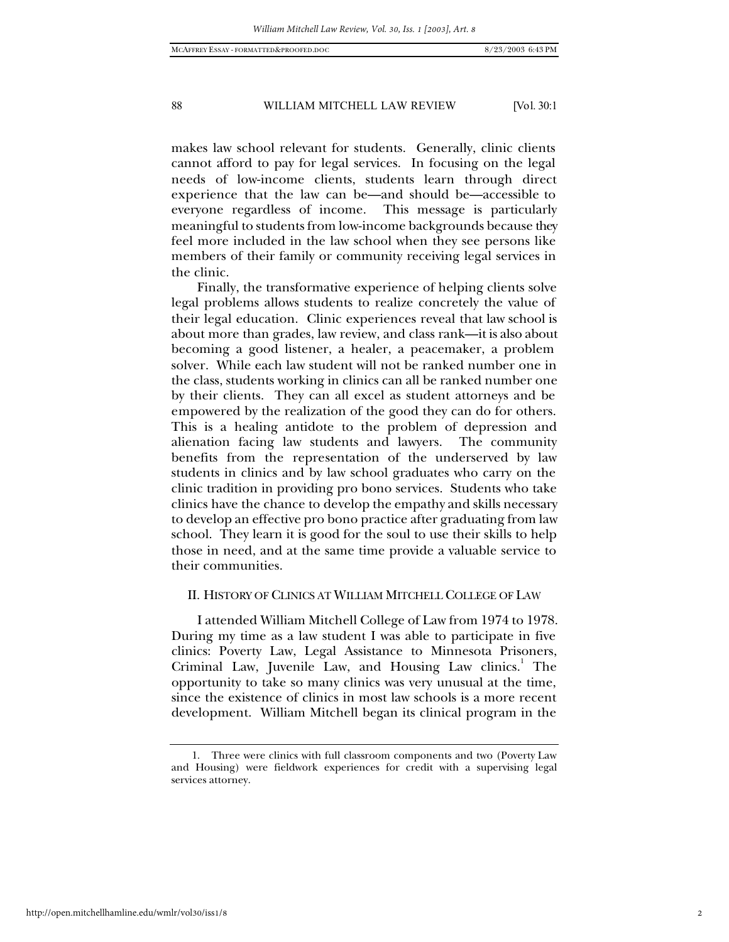makes law school relevant for students. Generally, clinic clients cannot afford to pay for legal services. In focusing on the legal needs of low-income clients, students learn through direct experience that the law can be—and should be—accessible to everyone regardless of income. This message is particularly meaningful to students from low-income backgrounds because they feel more included in the law school when they see persons like members of their family or community receiving legal services in the clinic.

Finally, the transformative experience of helping clients solve legal problems allows students to realize concretely the value of their legal education. Clinic experiences reveal that law school is about more than grades, law review, and class rank—it is also about becoming a good listener, a healer, a peacemaker, a problem solver. While each law student will not be ranked number one in the class, students working in clinics can all be ranked number one by their clients. They can all excel as student attorneys and be empowered by the realization of the good they can do for others. This is a healing antidote to the problem of depression and alienation facing law students and lawyers. The community benefits from the representation of the underserved by law students in clinics and by law school graduates who carry on the clinic tradition in providing pro bono services. Students who take clinics have the chance to develop the empathy and skills necessary to develop an effective pro bono practice after graduating from law school. They learn it is good for the soul to use their skills to help those in need, and at the same time provide a valuable service to their communities.

## II. HISTORY OF CLINICS AT WILLIAM MITCHELL COLLEGE OF LAW

I attended William Mitchell College of Law from 1974 to 1978. During my time as a law student I was able to participate in five clinics: Poverty Law, Legal Assistance to Minnesota Prisoners, Criminal Law, Juvenile Law, and Housing Law clinics.<sup>1</sup> The opportunity to take so many clinics was very unusual at the time, since the existence of clinics in most law schools is a more recent development. William Mitchell began its clinical program in the

<sup>1.</sup> Three were clinics with full classroom components and two (Poverty Law and Housing) were fieldwork experiences for credit with a supervising legal services attorney.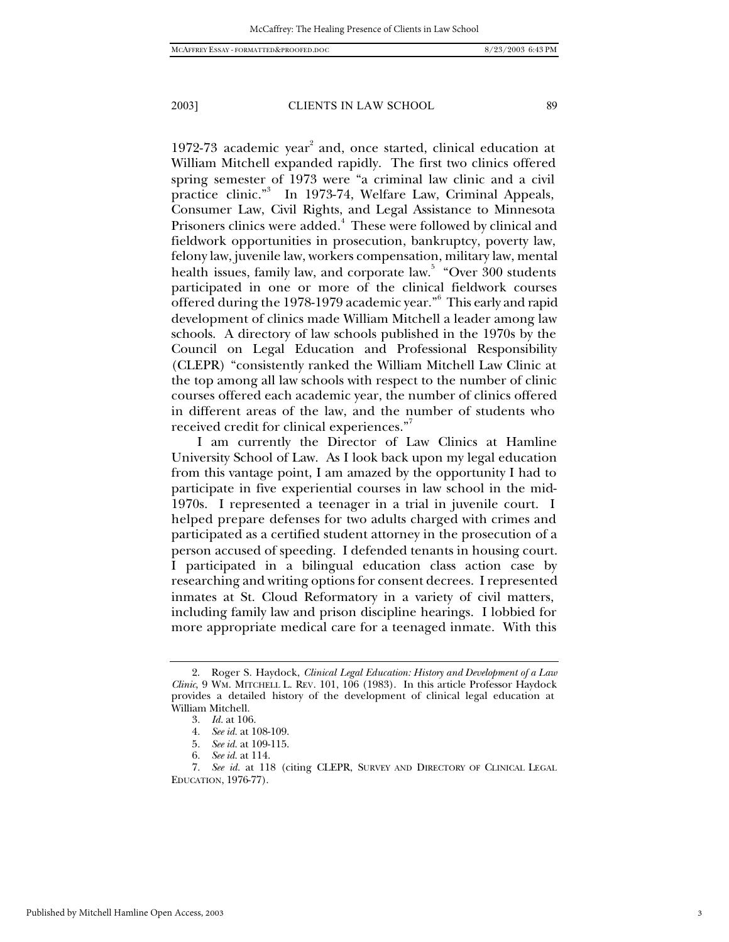1972-73 academic year<sup>2</sup> and, once started, clinical education at William Mitchell expanded rapidly. The first two clinics offered spring semester of 1973 were "a criminal law clinic and a civil practice clinic."<sup>3</sup> In 1973-74, Welfare Law, Criminal Appeals, Consumer Law, Civil Rights, and Legal Assistance to Minnesota Prisoners clinics were added.<sup>4</sup> These were followed by clinical and fieldwork opportunities in prosecution, bankruptcy, poverty law, felony law, juvenile law, workers compensation, military law, mental health issues, family law, and corporate law.<sup>5</sup> "Over 300 students participated in one or more of the clinical fieldwork courses  $\rm{offered}$  during the 1978-1979 academic year." $^6\,$  This early and rapid development of clinics made William Mitchell a leader among law schools. A directory of law schools published in the 1970s by the Council on Legal Education and Professional Responsibility (CLEPR) "consistently ranked the William Mitchell Law Clinic at the top among all law schools with respect to the number of clinic courses offered each academic year, the number of clinics offered in different areas of the law, and the number of students who

received credit for clinical experiences." I am currently the Director of Law Clinics at Hamline University School of Law. As I look back upon my legal education from this vantage point, I am amazed by the opportunity I had to participate in five experiential courses in law school in the mid-1970s. I represented a teenager in a trial in juvenile court. I helped prepare defenses for two adults charged with crimes and participated as a certified student attorney in the prosecution of a person accused of speeding. I defended tenants in housing court. I participated in a bilingual education class action case by researching and writing options for consent decrees. I represented inmates at St. Cloud Reformatory in a variety of civil matters, including family law and prison discipline hearings. I lobbied for more appropriate medical care for a teenaged inmate. With this

<sup>2.</sup> Roger S. Haydock, *Clinical Legal Education: History and Development of a Law Clinic*, 9 WM. MITCHELL L. REV. 101, 106 (1983). In this article Professor Haydock provides a detailed history of the development of clinical legal education at William Mitchell.

<sup>3</sup>*. Id.* at 106.

<sup>4</sup>*. See id.* at 108-109.

<sup>5</sup>*. See id.* at 109-115.

<sup>6</sup>*. See id.* at 114.

<sup>7</sup>*. See id.* at 118 (citing CLEPR, SURVEY AND DIRECTORY OF CLINICAL LEGAL EDUCATION, 1976-77).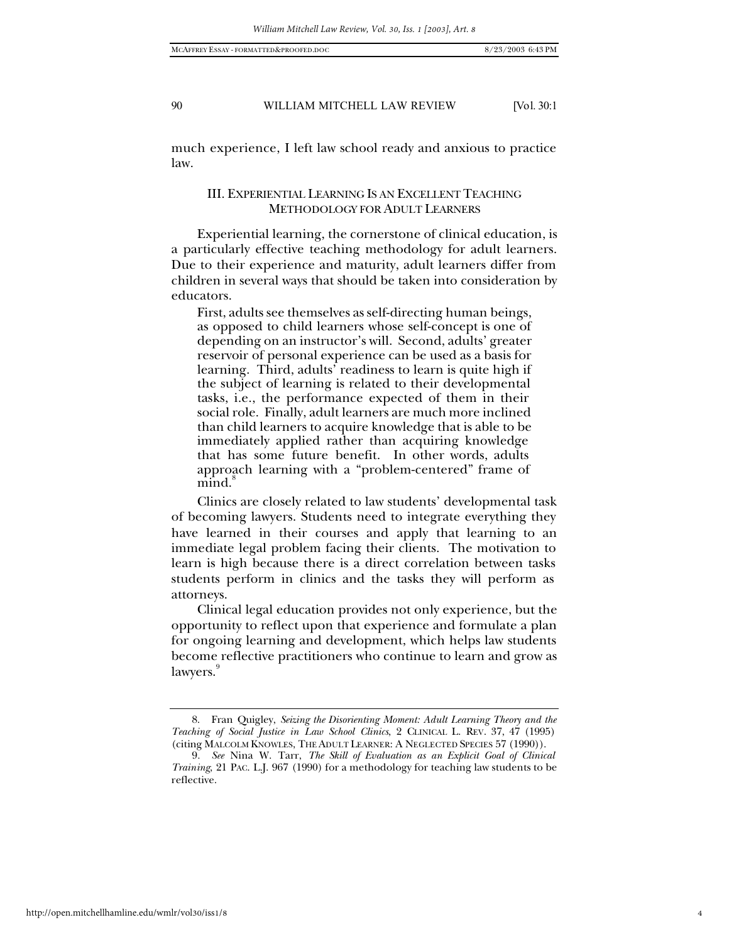much experience, I left law school ready and anxious to practice law.

## III. EXPERIENTIAL LEARNING IS AN EXCELLENT TEACHING METHODOLOGY FOR ADULT LEARNERS

Experiential learning, the cornerstone of clinical education, is a particularly effective teaching methodology for adult learners. Due to their experience and maturity, adult learners differ from children in several ways that should be taken into consideration by educators.

First, adults see themselves as self-directing human beings, as opposed to child learners whose self-concept is one of depending on an instructor's will. Second, adults' greater reservoir of personal experience can be used as a basis for learning. Third, adults' readiness to learn is quite high if the subject of learning is related to their developmental tasks, i.e., the performance expected of them in their social role. Finally, adult learners are much more inclined than child learners to acquire knowledge that is able to be immediately applied rather than acquiring knowledge that has some future benefit. In other words, adults approach learning with a "problem-centered" frame of mind.

Clinics are closely related to law students' developmental task of becoming lawyers. Students need to integrate everything they have learned in their courses and apply that learning to an immediate legal problem facing their clients. The motivation to learn is high because there is a direct correlation between tasks students perform in clinics and the tasks they will perform as attorneys.

Clinical legal education provides not only experience, but the opportunity to reflect upon that experience and formulate a plan for ongoing learning and development, which helps law students become reflective practitioners who continue to learn and grow as lawyers.

<sup>8.</sup> Fran Quigley, *Seizing the Disorienting Moment: Adult Learning Theory and the Teaching of Social Justice in Law School Clinics*, 2 CLINICAL L. REV. 37, 47 (1995) (citing MALCOLM KNOWLES, THE ADULT LEARNER: A NEGLECTED SPECIES 57 (1990)).

<sup>9</sup>*. See* Nina W. Tarr, *The Skill of Evaluation as an Explicit Goal of Clinical Training*, 21 PAC. L.J. 967 (1990) for a methodology for teaching law students to be reflective.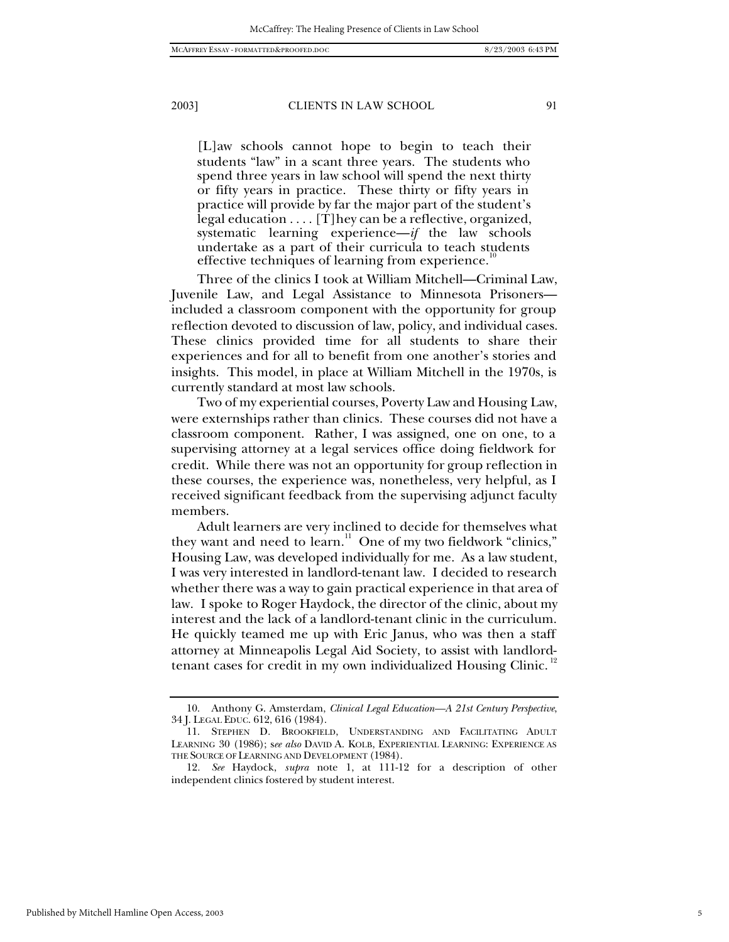[L]aw schools cannot hope to begin to teach their students "law" in a scant three years. The students who spend three years in law school will spend the next thirty or fifty years in practice. These thirty or fifty years in practice will provide by far the major part of the student's legal education . . . . [T]hey can be a reflective, organized, systematic learning experience—*if* the law schools undertake as a part of their curricula to teach students effective techniques of learning from experience.<sup>1</sup>

Three of the clinics I took at William Mitchell—Criminal Law, Juvenile Law, and Legal Assistance to Minnesota Prisoners included a classroom component with the opportunity for group reflection devoted to discussion of law, policy, and individual cases. These clinics provided time for all students to share their experiences and for all to benefit from one another's stories and insights. This model, in place at William Mitchell in the 1970s, is currently standard at most law schools.

Two of my experiential courses, Poverty Law and Housing Law, were externships rather than clinics. These courses did not have a classroom component. Rather, I was assigned, one on one, to a supervising attorney at a legal services office doing fieldwork for credit. While there was not an opportunity for group reflection in these courses, the experience was, nonetheless, very helpful, as I received significant feedback from the supervising adjunct faculty members.

Adult learners are very inclined to decide for themselves what they want and need to learn.<sup>11</sup> One of my two fieldwork "clinics," Housing Law, was developed individually for me. As a law student, I was very interested in landlord-tenant law. I decided to research whether there was a way to gain practical experience in that area of law. I spoke to Roger Haydock, the director of the clinic, about my interest and the lack of a landlord-tenant clinic in the curriculum. He quickly teamed me up with Eric Janus, who was then a staff attorney at Minneapolis Legal Aid Society, to assist with landlordtenant cases for credit in my own individualized Housing Clinic.

<sup>10.</sup> Anthony G. Amsterdam, *Clinical Legal Education—A 21st Century Perspective*, 34 J. LEGAL EDUC. 612, 616 (1984).

<sup>11.</sup> STEPHEN D. BROOKFIELD, UNDERSTANDING AND FACILITATING ADULT LEARNING 30 (1986); s*ee also* DAVID A. KOLB, EXPERIENTIAL LEARNING: EXPERIENCE AS THE SOURCE OF LEARNING AND DEVELOPMENT (1984).

<sup>12</sup>*. See* Haydock, *supra* note 1, at 111-12 for a description of other independent clinics fostered by student interest.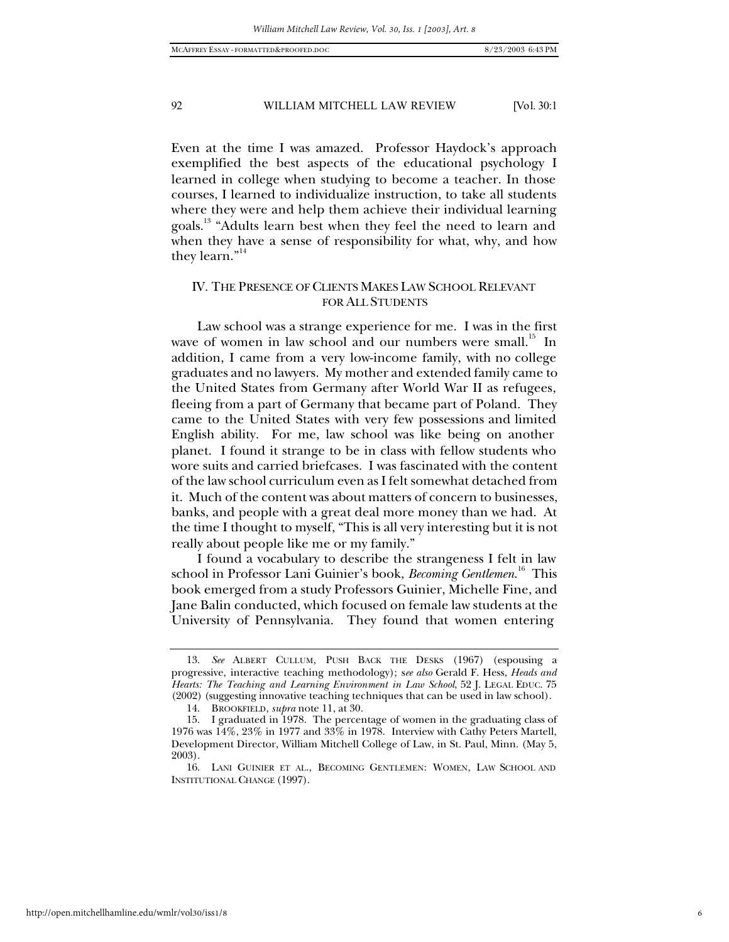Even at the time I was amazed. Professor Haydock's approach exemplified the best aspects of the educational psychology I learned in college when studying to become a teacher. In those courses, I learned to individualize instruction, to take all students where they were and help them achieve their individual learning goals.<sup>13</sup> "Adults learn best when they feel the need to learn and when they have a sense of responsibility for what, why, and how they learn."<sup>14</sup>

# IV. THE PRESENCE OF CLIENTS MAKES LAW SCHOOL RELEVANT FOR ALL STUDENTS

Law school was a strange experience for me. I was in the first wave of women in law school and our numbers were small. $15$  In addition, I came from a very low-income family, with no college graduates and no lawyers. My mother and extended family came to the United States from Germany after World War II as refugees, fleeing from a part of Germany that became part of Poland. They came to the United States with very few possessions and limited English ability. For me, law school was like being on another planet. I found it strange to be in class with fellow students who wore suits and carried briefcases. I was fascinated with the content of the law school curriculum even as I felt somewhat detached from it. Much of the content was about matters of concern to businesses, banks, and people with a great deal more money than we had. At the time I thought to myself, "This is all very interesting but it is not really about people like me or my family."

I found a vocabulary to describe the strangeness I felt in law school in Professor Lani Guinier's book, *Becoming Gentlemen*. 16 This book emerged from a study Professors Guinier, Michelle Fine, and Jane Balin conducted, which focused on female law students at the University of Pennsylvania. They found that women entering

<sup>13.</sup> *See* ALBERT CULLUM, PUSH BACK THE DESKS (1967) (espousing a progressive, interactive teaching methodology); s*ee also* Gerald F. Hess, *Heads and Hearts: The Teaching and Learning Environment in Law School*, 52 J. LEGAL EDUC. 75 (2002) (suggesting innovative teaching techniques that can be used in law school).

<sup>14.</sup> BROOKFIELD, *supra* note 11, at 30.

<sup>15.</sup> I graduated in 1978. The percentage of women in the graduating class of 1976 was 14%, 23% in 1977 and 33% in 1978. Interview with Cathy Peters Martell, Development Director, William Mitchell College of Law, in St. Paul, Minn. (May 5, 2003).

<sup>16.</sup> LANI GUINIER ET AL., BECOMING GENTLEMEN: WOMEN, LAW SCHOOL AND INSTITUTIONAL CHANGE (1997).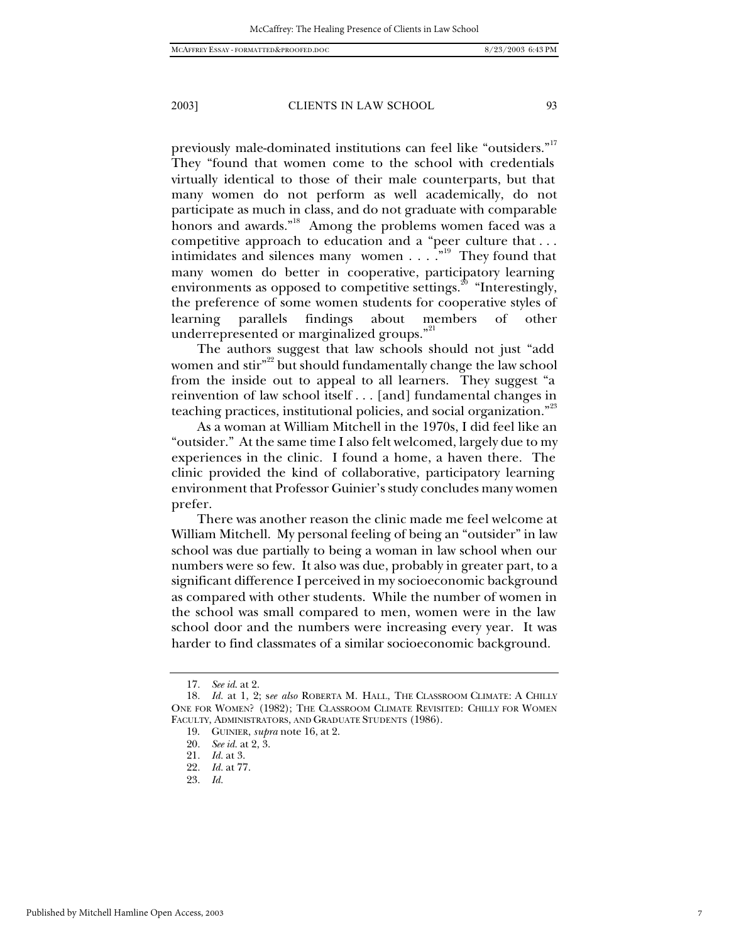previously male-dominated institutions can feel like "outsiders."<sup>17</sup> They "found that women come to the school with credentials virtually identical to those of their male counterparts, but that many women do not perform as well academically, do not participate as much in class, and do not graduate with comparable honors and awards."<sup>18</sup> Among the problems women faced was a competitive approach to education and a "peer culture that . . . intimidates and silences many women . . . .<sup>"19</sup> They found that many women do better in cooperative, participatory learning environments as opposed to competitive settings.<sup>20</sup> "Interestingly, the preference of some women students for cooperative styles of learning parallels findings about members of other underrepresented or marginalized groups."<sup>21</sup>

The authors suggest that law schools should not just "add women and stir"<sup>22</sup> but should fundamentally change the law school from the inside out to appeal to all learners. They suggest "a reinvention of law school itself . . . [and] fundamental changes in teaching practices, institutional policies, and social organization."<sup>23</sup>

As a woman at William Mitchell in the 1970s, I did feel like an "outsider." At the same time I also felt welcomed, largely due to my experiences in the clinic. I found a home, a haven there. The clinic provided the kind of collaborative, participatory learning environment that Professor Guinier's study concludes many women prefer.

There was another reason the clinic made me feel welcome at William Mitchell. My personal feeling of being an "outsider" in law school was due partially to being a woman in law school when our numbers were so few. It also was due, probably in greater part, to a significant difference I perceived in my socioeconomic background as compared with other students. While the number of women in the school was small compared to men, women were in the law school door and the numbers were increasing every year. It was harder to find classmates of a similar socioeconomic background.

<sup>17</sup>*. See id*. at 2.

<sup>18</sup>*. Id.* at 1, 2; s*ee also* ROBERTA M. HALL, THE CLASSROOM CLIMATE: A CHILLY ONE FOR WOMEN? (1982); THE CLASSROOM CLIMATE REVISITED: CHILLY FOR WOMEN FACULTY, ADMINISTRATORS, AND GRADUATE STUDENTS (1986).

<sup>19.</sup> GUINIER, *supra* note 16, at 2.

<sup>20</sup>*. See id.* at 2, 3.

<sup>21</sup>*. Id.* at 3.

<sup>22</sup>*. Id.* at 77.

<sup>23</sup>*. Id.*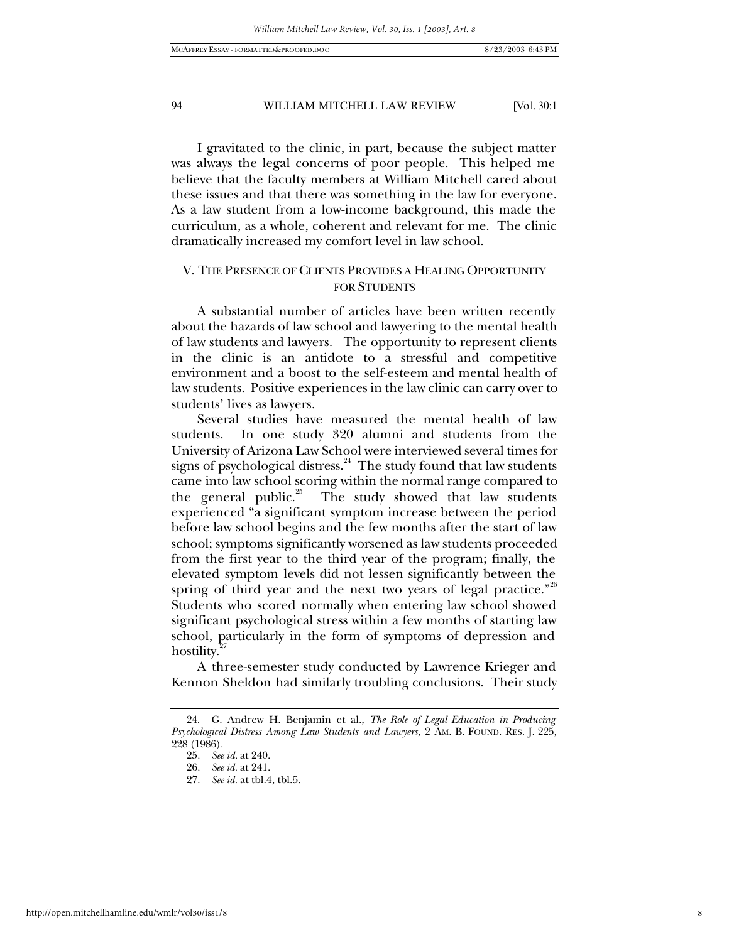I gravitated to the clinic, in part, because the subject matter was always the legal concerns of poor people. This helped me believe that the faculty members at William Mitchell cared about these issues and that there was something in the law for everyone. As a law student from a low-income background, this made the curriculum, as a whole, coherent and relevant for me. The clinic dramatically increased my comfort level in law school.

# V. THE PRESENCE OF CLIENTS PROVIDES A HEALING OPPORTUNITY FOR STUDENTS

A substantial number of articles have been written recently about the hazards of law school and lawyering to the mental health of law students and lawyers. The opportunity to represent clients in the clinic is an antidote to a stressful and competitive environment and a boost to the self-esteem and mental health of law students. Positive experiences in the law clinic can carry over to students' lives as lawyers.

Several studies have measured the mental health of law students. In one study 320 alumni and students from the University of Arizona Law School were interviewed several times for signs of psychological distress. $^{24}$  The study found that law students came into law school scoring within the normal range compared to the general public.<sup>25</sup> The study showed that law students experienced "a significant symptom increase between the period before law school begins and the few months after the start of law school; symptoms significantly worsened as law students proceeded from the first year to the third year of the program; finally, the elevated symptom levels did not lessen significantly between the spring of third year and the next two years of legal practice."<sup>26</sup> Students who scored normally when entering law school showed significant psychological stress within a few months of starting law school, particularly in the form of symptoms of depression and hostility.<sup>2</sup>

A three-semester study conducted by Lawrence Krieger and Kennon Sheldon had similarly troubling conclusions. Their study

<sup>24.</sup> G. Andrew H. Benjamin et al., *The Role of Legal Education in Producing Psychological Distress Among Law Students and Lawyers*, 2 AM. B. FOUND. RES. J. 225, 228 (1986).

<sup>25</sup>*. See id.* at 240.

<sup>26</sup>*. See id.* at 241.

<sup>27</sup>*. See id.* at tbl.4, tbl.5.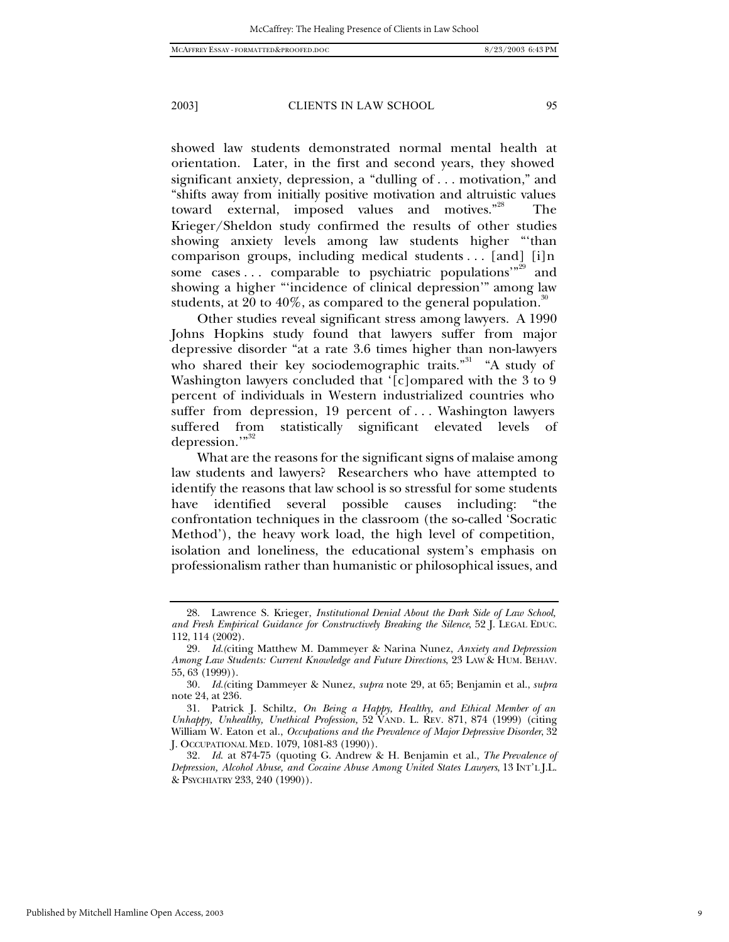showed law students demonstrated normal mental health at orientation. Later, in the first and second years, they showed significant anxiety, depression, a "dulling of . . . motivation," and "shifts away from initially positive motivation and altruistic values toward external, imposed values and motives."<sup>28</sup> The Krieger/Sheldon study confirmed the results of other studies showing anxiety levels among law students higher "'than comparison groups, including medical students . . . [and] [i]n some cases ... comparable to psychiatric populations"<sup>29</sup> and showing a higher "'incidence of clinical depression'" among law

Other studies reveal significant stress among lawyers. A 1990 Johns Hopkins study found that lawyers suffer from major depressive disorder "at a rate 3.6 times higher than non-lawyers who shared their key sociodemographic traits."<sup>31</sup> "A study of Washington lawyers concluded that '[c]ompared with the 3 to 9 percent of individuals in Western industrialized countries who suffer from depression, 19 percent of . . . Washington lawyers suffered from statistically significant elevated levels of depression."<sup>32</sup>

students, at 20 to 40%, as compared to the general population.<sup>30</sup>

What are the reasons for the significant signs of malaise among law students and lawyers? Researchers who have attempted to identify the reasons that law school is so stressful for some students have identified several possible causes including: "the confrontation techniques in the classroom (the so-called 'Socratic Method'), the heavy work load, the high level of competition, isolation and loneliness, the educational system's emphasis on professionalism rather than humanistic or philosophical issues, and

32*. Id*. at 874-75 (quoting G. Andrew & H. Benjamin et al., *The Prevalence of Depression, Alcohol Abuse, and Cocaine Abuse Among United States Lawyers*, 13 INT'L J.L. & PSYCHIATRY 233, 240 (1990)).

Published by Mitchell Hamline Open Access, 2003

9

<sup>28.</sup> Lawrence S. Krieger, *Institutional Denial About the Dark Side of Law School, and Fresh Empirical Guidance for Constructively Breaking the Silence*, 52 J. LEGAL EDUC. 112, 114 (2002).

<sup>29</sup>*. Id.(*citing Matthew M. Dammeyer & Narina Nunez, *Anxiety and Depression Among Law Students: Current Knowledge and Future Directions*, 23 LAW & HUM. BEHAV. 55, 63 (1999)).

<sup>30</sup>*. Id.(*citing Dammeyer & Nunez, *supra* note 29, at 65; Benjamin et al., *supra* note 24, at 236.

<sup>31.</sup> Patrick J. Schiltz, *On Being a Happy, Healthy, and Ethical Member of an Unhappy, Unhealthy, Unethical Profession,* 52 VAND. L. REV. 871, 874 (1999) (citing William W. Eaton et al., *Occupations and the Prevalence of Major Depressive Disorder*, 32 J. OCCUPATIONAL MED. 1079, 1081-83 (1990)).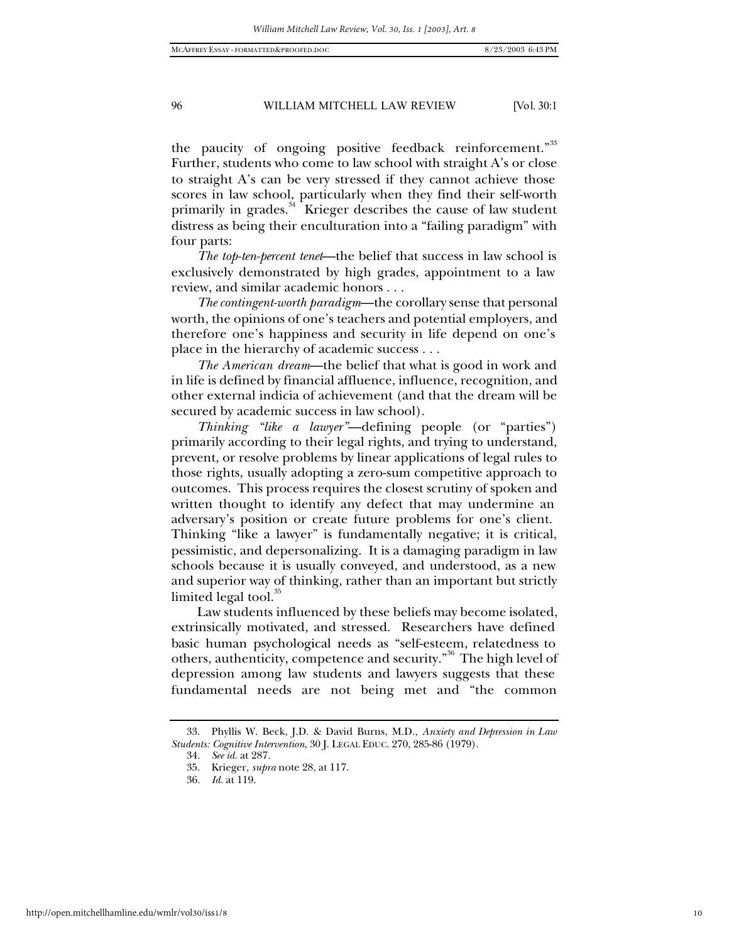the paucity of ongoing positive feedback reinforcement."<sup>33</sup> Further, students who come to law school with straight A's or close to straight A's can be very stressed if they cannot achieve those scores in law school, particularly when they find their self-worth primarily in grades.<sup>34</sup> Krieger describes the cause of law student distress as being their enculturation into a "failing paradigm" with four parts:

*The top-ten-percent tenet*—the belief that success in law school is exclusively demonstrated by high grades, appointment to a law review, and similar academic honors . . .

*The contingent-worth paradigm*—the corollary sense that personal worth, the opinions of one's teachers and potential employers, and therefore one's happiness and security in life depend on one's place in the hierarchy of academic success . . .

*The American dream*—the belief that what is good in work and in life is defined by financial affluence, influence, recognition, and other external indicia of achievement (and that the dream will be secured by academic success in law school).

*Thinking "like a lawyer"*—defining people (or "parties") primarily according to their legal rights, and trying to understand, prevent, or resolve problems by linear applications of legal rules to those rights, usually adopting a zero-sum competitive approach to outcomes. This process requires the closest scrutiny of spoken and written thought to identify any defect that may undermine an adversary's position or create future problems for one's client. Thinking "like a lawyer" is fundamentally negative; it is critical, pessimistic, and depersonalizing. It is a damaging paradigm in law schools because it is usually conveyed, and understood, as a new and superior way of thinking, rather than an important but strictly limited legal tool. $35$ 

Law students influenced by these beliefs may become isolated, extrinsically motivated, and stressed. Researchers have defined basic human psychological needs as "self-esteem, relatedness to others, authenticity, competence and security."<sup>36</sup> The high level of depression among law students and lawyers suggests that these fundamental needs are not being met and "the common

<sup>33.</sup> Phyllis W. Beck, J.D. & David Burns, M.D., *Anxiety and Depression in Law Students: Cognitive Intervention*, 30 J. LEGAL EDUC. 270, 285-86 (1979).

<sup>34</sup>*. See id.* at 287.

<sup>35.</sup> Krieger, *supra* note 28, at 117.

<sup>36</sup>*. Id.* at 119.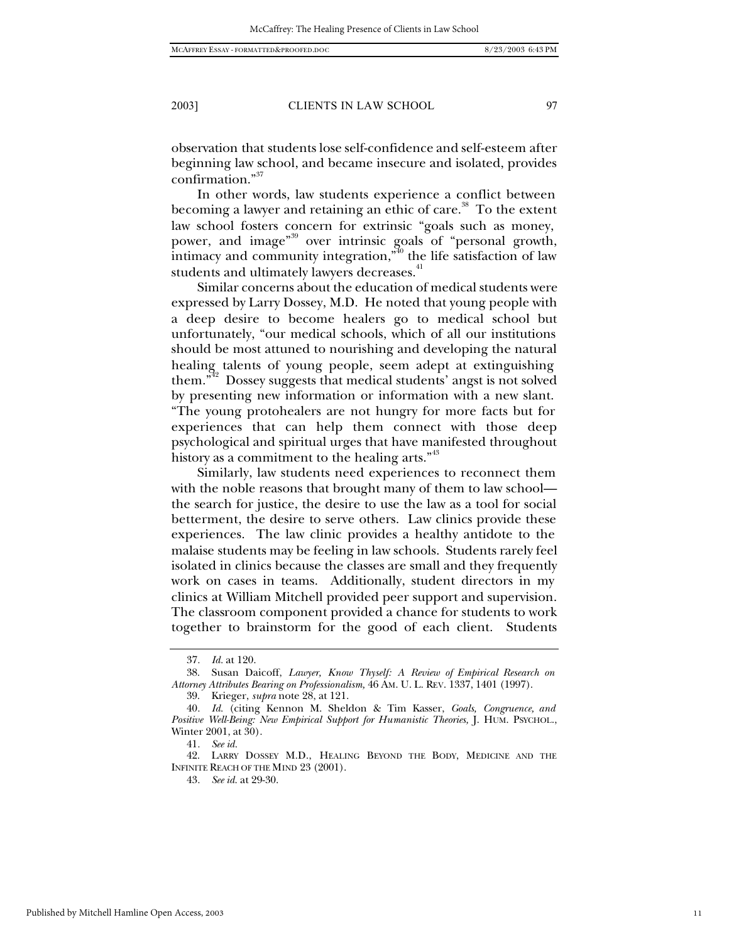observation that students lose self-confidence and self-esteem after beginning law school, and became insecure and isolated, provides confirmation."37

In other words, law students experience a conflict between becoming a lawyer and retaining an ethic of care.<sup>38</sup> To the extent law school fosters concern for extrinsic "goals such as money, power, and image"39 over intrinsic goals of "personal growth, intimacy and community integration,<sup> $*^{40}$ </sup> the life satisfaction of law students and ultimately lawyers decreases.<sup>41</sup>

Similar concerns about the education of medical students were expressed by Larry Dossey, M.D. He noted that young people with a deep desire to become healers go to medical school but unfortunately, "our medical schools, which of all our institutions should be most attuned to nourishing and developing the natural healing talents of young people, seem adept at extinguishing them."42 Dossey suggests that medical students' angst is not solved by presenting new information or information with a new slant. "The young protohealers are not hungry for more facts but for experiences that can help them connect with those deep psychological and spiritual urges that have manifested throughout history as a commitment to the healing arts."<sup>43</sup>

Similarly, law students need experiences to reconnect them with the noble reasons that brought many of them to law school the search for justice, the desire to use the law as a tool for social betterment, the desire to serve others. Law clinics provide these experiences. The law clinic provides a healthy antidote to the malaise students may be feeling in law schools. Students rarely feel isolated in clinics because the classes are small and they frequently work on cases in teams. Additionally, student directors in my clinics at William Mitchell provided peer support and supervision. The classroom component provided a chance for students to work together to brainstorm for the good of each client. Students

<sup>37</sup>*. Id.* at 120.

<sup>38.</sup> Susan Daicoff, *Lawyer, Know Thyself: A Review of Empirical Research on Attorney Attributes Bearing on Professionalism,* 46 AM. U. L. REV. 1337, 1401 (1997).

<sup>39.</sup> Krieger, *supra* note 28, at 121.

<sup>40</sup>*. Id.* (citing Kennon M. Sheldon & Tim Kasser, *Goals, Congruence, and Positive Well-Being: New Empirical Support for Humanistic Theories,* J. HUM. PSYCHOL., Winter 2001, at 30).

<sup>41</sup>*. See id.*

<sup>42.</sup> LARRY DOSSEY M.D., HEALING BEYOND THE BODY, MEDICINE AND THE INFINITE REACH OF THE MIND 23 (2001).

<sup>43</sup>*. See id.* at 29-30.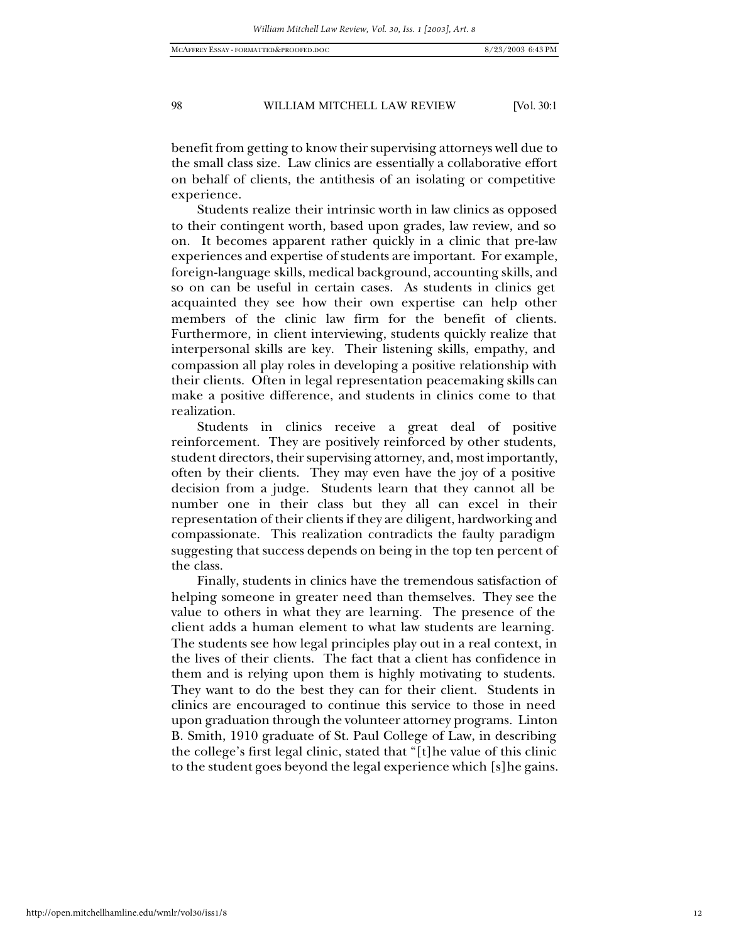benefit from getting to know their supervising attorneys well due to the small class size. Law clinics are essentially a collaborative effort on behalf of clients, the antithesis of an isolating or competitive experience.

Students realize their intrinsic worth in law clinics as opposed to their contingent worth, based upon grades, law review, and so on. It becomes apparent rather quickly in a clinic that pre-law experiences and expertise of students are important. For example, foreign-language skills, medical background, accounting skills, and so on can be useful in certain cases. As students in clinics get acquainted they see how their own expertise can help other members of the clinic law firm for the benefit of clients. Furthermore, in client interviewing, students quickly realize that interpersonal skills are key. Their listening skills, empathy, and compassion all play roles in developing a positive relationship with their clients. Often in legal representation peacemaking skills can make a positive difference, and students in clinics come to that realization.

Students in clinics receive a great deal of positive reinforcement. They are positively reinforced by other students, student directors, their supervising attorney, and, most importantly, often by their clients. They may even have the joy of a positive decision from a judge. Students learn that they cannot all be number one in their class but they all can excel in their representation of their clients if they are diligent, hardworking and compassionate. This realization contradicts the faulty paradigm suggesting that success depends on being in the top ten percent of the class.

Finally, students in clinics have the tremendous satisfaction of helping someone in greater need than themselves. They see the value to others in what they are learning. The presence of the client adds a human element to what law students are learning. The students see how legal principles play out in a real context, in the lives of their clients. The fact that a client has confidence in them and is relying upon them is highly motivating to students. They want to do the best they can for their client. Students in clinics are encouraged to continue this service to those in need upon graduation through the volunteer attorney programs. Linton B. Smith, 1910 graduate of St. Paul College of Law, in describing the college's first legal clinic, stated that "[t]he value of this clinic to the student goes beyond the legal experience which [s]he gains.